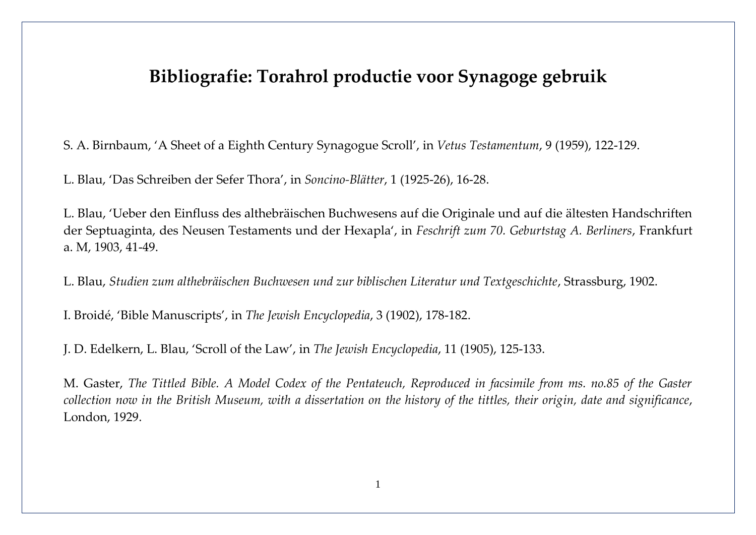## **Bibliografie: Torahrol productie voor Synagoge gebruik**

S. A. Birnbaum, 'A Sheet of a Eighth Century Synagogue Scroll', in *Vetus Testamentum*, 9 (1959), 122-129.

L. Blau, 'Das Schreiben der Sefer Thora', in *Soncino-Blätter*, 1 (1925-26), 16-28.

L. Blau, 'Ueber den Einfluss des althebräischen Buchwesens auf die Originale und auf die ältesten Handschriften der Septuaginta, des Neusen Testaments und der Hexapla', in *Feschrift zum 70. Geburtstag A. Berliners*, Frankfurt a. M, 1903, 41-49.

L. Blau, *Studien zum althebräischen Buchwesen und zur biblischen Literatur und Textgeschichte*, Strassburg, 1902.

I. Broidé, 'Bible Manuscripts', in *The Jewish Encyclopedia*, 3 (1902), 178-182.

J. D. Edelkern, L. Blau, 'Scroll of the Law', in *The Jewish Encyclopedia*, 11 (1905), 125-133.

M. Gaster, *The Tittled Bible. A Model Codex of the Pentateuch, Reproduced in facsimile from ms. no.85 of the Gaster collection now in the British Museum, with a dissertation on the history of the tittles, their origin, date and significance*, London, 1929.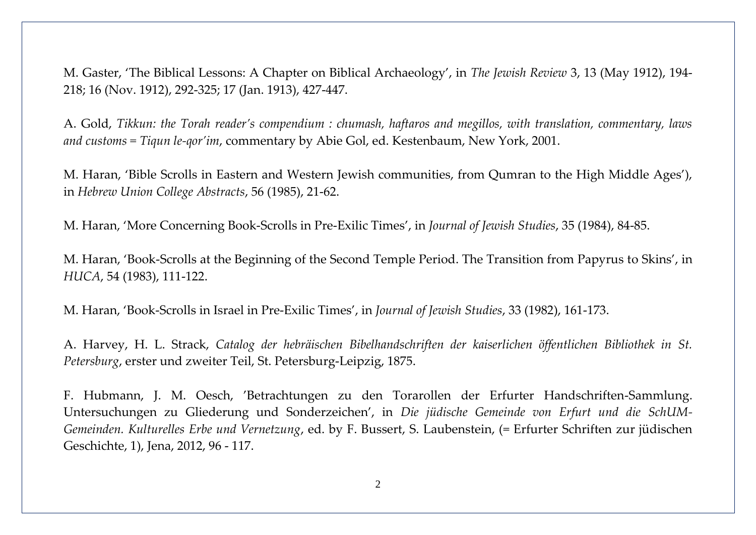M. Gaster, 'The Biblical Lessons: A Chapter on Biblical Archaeology', in *The Jewish Review* 3, 13 (May 1912), 194- 218; 16 (Nov. 1912), 292-325; 17 (Jan. 1913), 427-447.

A. Gold, *Tikkun: the Torah reader's compendium : chumash, haftaros and megillos, with translation, commentary, laws and customs = Tiqun le-qor'im*, commentary by Abie Gol, ed. Kestenbaum, New York, 2001.

M. Haran, 'Bible Scrolls in Eastern and Western Jewish communities, from Qumran to the High Middle Ages'), in *Hebrew Union College Abstracts*, 56 (1985), 21-62.

M. Haran, 'More Concerning Book-Scrolls in Pre-Exilic Times', in *Journal of Jewish Studies*, 35 (1984), 84-85.

M. Haran, 'Book-Scrolls at the Beginning of the Second Temple Period. The Transition from Papyrus to Skins', in *HUCA*, 54 (1983), 111-122.

M. Haran, 'Book-Scrolls in Israel in Pre-Exilic Times', in *Journal of Jewish Studies*, 33 (1982), 161-173.

A. Harvey, H. L. Strack, *Catalog der hebräischen Bibelhandschriften der kaiserlichen öffentlichen Bibliothek in St. Petersburg*, erster und zweiter Teil, St. Petersburg-Leipzig, 1875.

F. Hubmann, J. M. Oesch, 'Betrachtungen zu den Torarollen der Erfurter Handschriften-Sammlung. Untersuchungen zu Gliederung und Sonderzeichen', in *Die jüdische Gemeinde von Erfurt und die SchUM-Gemeinden. Kulturelles Erbe und Vernetzung*, ed. by F. Bussert, S. Laubenstein, (= Erfurter Schriften zur jüdischen Geschichte, 1), Jena, 2012, 96 - 117.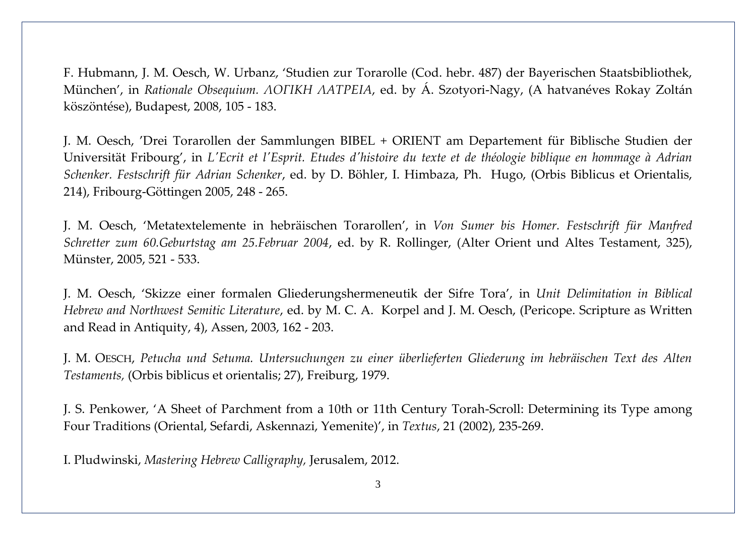F. Hubmann, J. M. Oesch, W. Urbanz, 'Studien zur Torarolle (Cod. hebr. 487) der Bayerischen Staatsbibliothek, München', in *Rationale Obsequium. ΛΟΓΙΚΗ ΛΑΤΡΕΙΑ*, ed. by Á. Szotyori-Nagy, (A hatvanéves Rokay Zoltán köszöntése), Budapest, 2008, 105 - 183.

J. M. Oesch, 'Drei Torarollen der Sammlungen BIBEL + ORIENT am Departement für Biblische Studien der Universität Fribourg', in *L'Ecrit et l'Esprit. Etudes d'histoire du texte et de théologie biblique en hommage à Adrian Schenker. Festschrift für Adrian Schenker*, ed. by D. Böhler, I. Himbaza, Ph. Hugo, (Orbis Biblicus et Orientalis, 214), Fribourg-Göttingen 2005, 248 - 265.

J. M. Oesch, 'Metatextelemente in hebräischen Torarollen', in *Von Sumer bis Homer. Festschrift für Manfred Schretter zum 60.Geburtstag am 25.Februar 2004*, ed. by R. Rollinger, (Alter Orient und Altes Testament, 325), Münster, 2005, 521 - 533.

J. M. Oesch, 'Skizze einer formalen Gliederungshermeneutik der Sifre Tora', in *Unit Delimitation in Biblical Hebrew and Northwest Semitic Literature*, ed. by M. C. A. Korpel and J. M. Oesch, (Pericope. Scripture as Written and Read in Antiquity, 4), Assen, 2003, 162 - 203.

J. M. OESCH, *Petucha und Setuma. Untersuchungen zu einer überlieferten Gliederung im hebräischen Text des Alten Testaments,* (Orbis biblicus et orientalis; 27), Freiburg, 1979.

J. S. Penkower, 'A Sheet of Parchment from a 10th or 11th Century Torah-Scroll: Determining its Type among Four Traditions (Oriental, Sefardi, Askennazi, Yemenite)', in *Textus*, 21 (2002), 235-269.

I. Pludwinski, *Mastering Hebrew Calligraphy,* Jerusalem, 2012.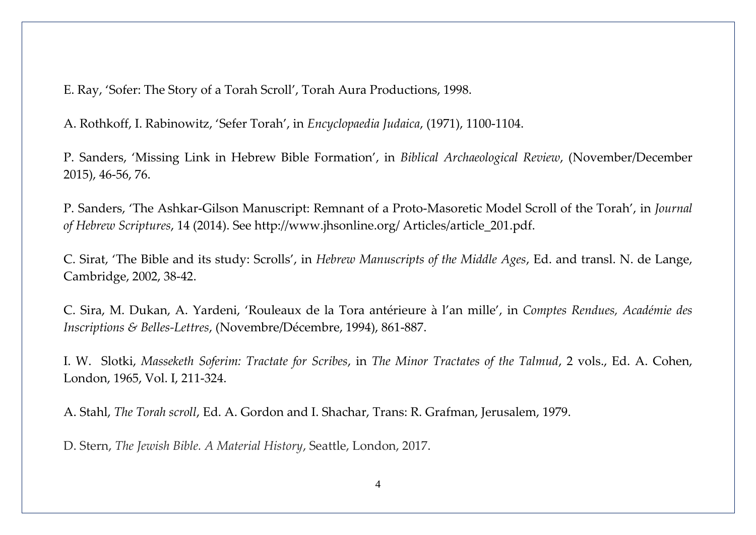E. Ray, 'Sofer: The Story of a Torah Scroll', Torah Aura Productions, 1998.

A. Rothkoff, I. Rabinowitz, 'Sefer Torah', in *Encyclopaedia Judaica*, (1971), 1100-1104.

P. Sanders, 'Missing Link in Hebrew Bible Formation', in *Biblical Archaeological Review*, (November/December 2015), 46-56, 76.

P. Sanders, 'The Ashkar-Gilson Manuscript: Remnant of a Proto-Masoretic Model Scroll of the Torah', in *Journal of Hebrew Scriptures*, 14 (2014). See http://www.jhsonline.org/ Articles/article\_201.pdf.

C. Sirat, 'The Bible and its study: Scrolls', in *Hebrew Manuscripts of the Middle Ages*, Ed. and transl. N. de Lange, Cambridge, 2002, 38-42.

C. Sira, M. Dukan, A. Yardeni, 'Rouleaux de la Tora antérieure à l'an mille', in *Comptes Rendues, Académie des Inscriptions & Belles-Lettres*, (Novembre/Décembre, 1994), 861-887.

I. W. Slotki, *Masseketh Soferim: Tractate for Scribes*, in *The Minor Tractates of the Talmud*, 2 vols., Ed. A. Cohen, London, 1965, Vol. I, 211-324.

A. Stahl, *The Torah scroll*, Ed. A. Gordon and I. Shachar, Trans: R. Grafman, Jerusalem, 1979.

D. Stern, *The Jewish Bible. A Material History*, Seattle, London, 2017.